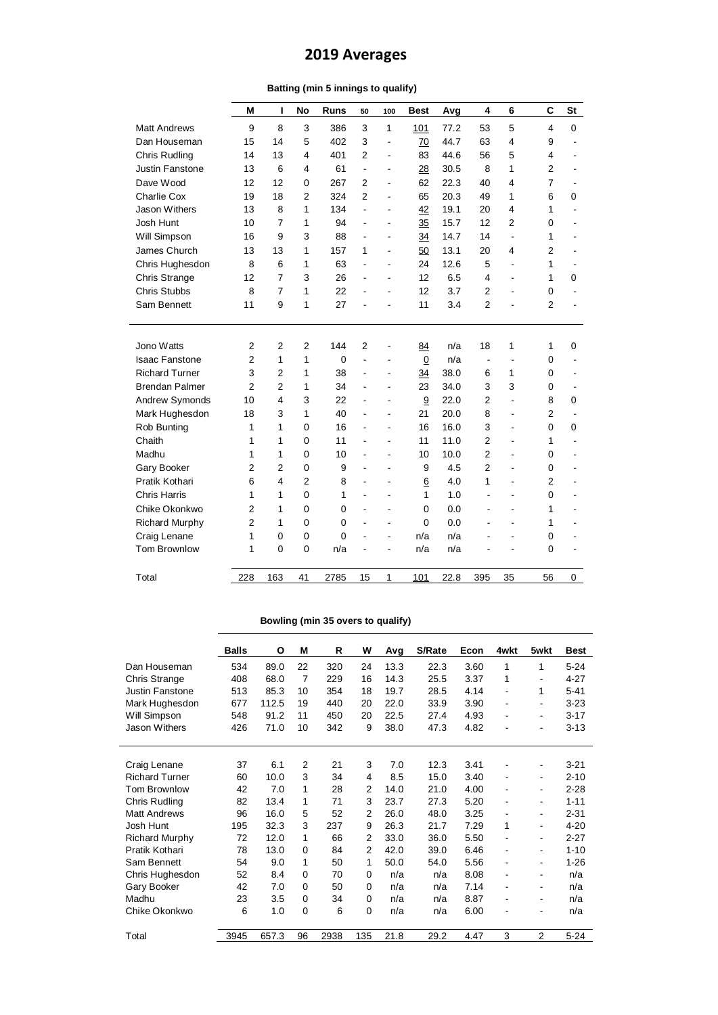## **2019 Averages**

|  |  |  | Batting (min 5 innings to qualify) |  |  |  |
|--|--|--|------------------------------------|--|--|--|
|--|--|--|------------------------------------|--|--|--|

|                       | M              | ı                       | <b>No</b>               | <b>Runs</b>  | 50                       | 100                      | <b>Best</b>     | Avg  | 4              | 6                        | C              | <b>St</b>   |
|-----------------------|----------------|-------------------------|-------------------------|--------------|--------------------------|--------------------------|-----------------|------|----------------|--------------------------|----------------|-------------|
| <b>Matt Andrews</b>   | 9              | 8                       | 3                       | 386          | 3                        | 1                        | 101             | 77.2 | 53             | 5                        | $\overline{4}$ | $\mathbf 0$ |
| Dan Houseman          | 15             | 14                      | 5                       | 402          | 3                        | ÷,                       | 70              | 44.7 | 63             | 4                        | 9              |             |
| <b>Chris Rudling</b>  | 14             | 13                      | 4                       | 401          | $\mathfrak{p}$           | $\overline{\phantom{a}}$ | 83              | 44.6 | 56             | 5                        | 4              |             |
| Justin Fanstone       | 13             | 6                       | $\overline{\mathbf{4}}$ | 61           | $\blacksquare$           | $\overline{a}$           | 28              | 30.5 | 8              | 1                        | $\overline{2}$ |             |
| Dave Wood             | 12             | 12                      | $\Omega$                | 267          | $\overline{2}$           | $\overline{a}$           | 62              | 22.3 | 40             | 4                        | $\overline{7}$ |             |
| Charlie Cox           | 19             | 18                      | $\overline{2}$          | 324          | $\mathfrak{p}$           | ä,                       | 65              | 20.3 | 49             | 1                        | 6              | $\mathbf 0$ |
| Jason Withers         | 13             | 8                       | 1                       | 134          | $\overline{\phantom{a}}$ | $\blacksquare$           | 42              | 19.1 | 20             | 4                        | 1              |             |
| Josh Hunt             | 10             | $\overline{7}$          | 1                       | 94           | $\blacksquare$           | $\blacksquare$           | 35              | 15.7 | 12             | $\overline{2}$           | $\Omega$       |             |
| Will Simpson          | 16             | 9                       | 3                       | 88           |                          | $\blacksquare$           | 34              | 14.7 | 14             | $\overline{\phantom{a}}$ | 1              |             |
| James Church          | 13             | 13                      | 1                       | 157          | 1                        | $\blacksquare$           | 50              | 13.1 | 20             | 4                        | $\overline{2}$ |             |
| Chris Hughesdon       | 8              | 6                       | 1                       | 63           | $\blacksquare$           | $\overline{\phantom{a}}$ | 24              | 12.6 | 5              | $\overline{\phantom{a}}$ | 1              |             |
| Chris Strange         | 12             | $\overline{7}$          | 3                       | 26           | $\blacksquare$           | $\blacksquare$           | 12              | 6.5  | 4              | $\overline{\phantom{0}}$ | 1              | 0           |
| <b>Chris Stubbs</b>   | 8              | $\overline{7}$          | 1                       | 22           | ÷,                       | $\blacksquare$           | 12              | 3.7  | $\overline{2}$ |                          | $\mathbf 0$    |             |
| Sam Bennett           | 11             | 9                       | 1                       | 27           | L,                       | ÷.                       | 11              | 3.4  | $\overline{2}$ |                          | $\overline{2}$ |             |
|                       |                |                         |                         |              |                          |                          |                 |      |                |                          |                |             |
| Jono Watts            | $\overline{2}$ | $\overline{2}$          | $\overline{2}$          | 144          | 2                        | ÷                        | 84              | n/a  | 18             | 1                        | 1              | $\mathbf 0$ |
| <b>Isaac Fanstone</b> | $\overline{2}$ | 1                       | 1                       | $\Omega$     | $\overline{a}$           | $\blacksquare$           | $\underline{0}$ | n/a  | $\blacksquare$ |                          | $\mathbf 0$    |             |
| <b>Richard Turner</b> | 3              | $\overline{2}$          | 1                       | 38           | $\blacksquare$           | $\overline{a}$           | 34              | 38.0 | 6              | 1                        | 0              |             |
| <b>Brendan Palmer</b> | $\overline{2}$ | $\overline{2}$          | 1                       | 34           |                          | $\overline{\phantom{a}}$ | 23              | 34.0 | 3              | 3                        | 0              |             |
| Andrew Symonds        | 10             | $\overline{\mathbf{4}}$ | 3                       | 22           |                          | $\blacksquare$           | 9               | 22.0 | $\overline{2}$ | $\overline{\phantom{a}}$ | 8              | 0           |
| Mark Hughesdon        | 18             | 3                       | 1                       | 40           | $\blacksquare$           | $\blacksquare$           | 21              | 20.0 | 8              | $\overline{\phantom{a}}$ | $\overline{2}$ |             |
| Rob Bunting           | 1              | 1                       | $\Omega$                | 16           | ä,                       | $\blacksquare$           | 16              | 16.0 | 3              | $\overline{a}$           | $\Omega$       | $\mathbf 0$ |
| Chaith                | 1              | 1                       | $\mathbf{0}$            | 11           |                          | $\blacksquare$           | 11              | 11.0 | $\overline{2}$ | $\overline{a}$           | 1              |             |
| Madhu                 | 1              | 1                       | $\Omega$                | 10           | $\overline{a}$           | $\overline{a}$           | 10              | 10.0 | $\overline{2}$ | $\overline{a}$           | $\Omega$       |             |
| Gary Booker           | $\overline{2}$ | $\overline{2}$          | $\Omega$                | 9            | $\overline{a}$           | $\overline{a}$           | 9               | 4.5  | $\overline{2}$ | $\overline{a}$           | $\Omega$       |             |
| Pratik Kothari        | 6              | 4                       | $\overline{2}$          | 8            | $\overline{a}$           | $\overline{a}$           | 6               | 4.0  | 1              | $\overline{a}$           | $\overline{2}$ |             |
| <b>Chris Harris</b>   | 1              | 1                       | 0                       | 1            | $\overline{a}$           | $\overline{a}$           | $\mathbf{1}$    | 1.0  |                |                          | $\mathbf 0$    |             |
| Chike Okonkwo         | 2              | 1                       | $\Omega$                | $\Omega$     | $\blacksquare$           | $\overline{a}$           | 0               | 0.0  |                | ÷.                       | 1              |             |
| <b>Richard Murphy</b> | $\overline{2}$ | 1                       | $\Omega$                | $\Omega$     |                          | $\overline{a}$           | 0               | 0.0  |                |                          | 1              |             |
| Craig Lenane          | 1              | $\Omega$                | $\Omega$                | $\mathbf{0}$ |                          | L,                       | n/a             | n/a  |                |                          | 0              |             |
| <b>Tom Brownlow</b>   | 1              | 0                       | $\mathbf 0$             | n/a          |                          |                          | n/a             | n/a  |                |                          | 0              |             |
| Total                 | 228            | 163                     | 41                      | 2785         | 15                       | 1                        | 101             | 22.8 | 395            | 35                       | 56             | 0           |
|                       |                |                         |                         |              |                          |                          |                 |      |                |                          |                |             |

## **Bowling (min 35 overs to qualify)**

|                        | <b>Balls</b> | O     | M              | R    | W        | Avg  | S/Rate | Econ | 4wkt                         | 5wkt                     | Best     |
|------------------------|--------------|-------|----------------|------|----------|------|--------|------|------------------------------|--------------------------|----------|
| Dan Houseman           | 534          | 89.0  | 22             | 320  | 24       | 13.3 | 22.3   | 3.60 | 1                            | 1                        | $5 - 24$ |
| Chris Strange          | 408          | 68.0  | $\overline{7}$ | 229  | 16       | 14.3 | 25.5   | 3.37 | 1                            | $\overline{\phantom{a}}$ | $4 - 27$ |
| <b>Justin Fanstone</b> | 513          | 85.3  | 10             | 354  | 18       | 19.7 | 28.5   | 4.14 | $\blacksquare$               | 1                        | $5 - 41$ |
| Mark Hughesdon         | 677          | 112.5 | 19             | 440  | 20       | 22.0 | 33.9   | 3.90 | $\overline{\phantom{a}}$     | $\overline{\phantom{a}}$ | $3 - 23$ |
| Will Simpson           | 548          | 91.2  | 11             | 450  | 20       | 22.5 | 27.4   | 4.93 | $\overline{\phantom{a}}$     | ٠                        | $3 - 17$ |
| Jason Withers          | 426          | 71.0  | 10             | 342  | 9        | 38.0 | 47.3   | 4.82 | ٠                            | ۰                        | $3 - 13$ |
|                        |              |       |                |      |          |      |        |      |                              |                          |          |
|                        | 37           | 6.1   | $\overline{2}$ | 21   | 3        | 7.0  | 12.3   | 3.41 |                              |                          | $3 - 21$ |
| Craig Lenane           |              |       | 3              |      |          |      |        |      | $\qquad \qquad \blacksquare$ | ۰                        |          |
| <b>Richard Turner</b>  | 60           | 10.0  |                | 34   | 4        | 8.5  | 15.0   | 3.40 | $\blacksquare$               | ٠                        | $2 - 10$ |
| <b>Tom Brownlow</b>    | 42           | 7.0   | 1              | 28   | 2        | 14.0 | 21.0   | 4.00 | $\blacksquare$               | ٠                        | $2 - 28$ |
| Chris Rudling          | 82           | 13.4  | 1              | 71   | 3        | 23.7 | 27.3   | 5.20 | $\overline{\phantom{a}}$     | ٠                        | $1 - 11$ |
| <b>Matt Andrews</b>    | 96           | 16.0  | 5              | 52   | 2        | 26.0 | 48.0   | 3.25 | $\blacksquare$               | ٠                        | $2 - 31$ |
| Josh Hunt              | 195          | 32.3  | 3              | 237  | 9        | 26.3 | 21.7   | 7.29 | 1                            | ٠                        | $4 - 20$ |
| <b>Richard Murphy</b>  | 72           | 12.0  | 1              | 66   | 2        | 33.0 | 36.0   | 5.50 | $\blacksquare$               | ٠                        | $2 - 27$ |
| Pratik Kothari         | 78           | 13.0  | $\Omega$       | 84   | 2        | 42.0 | 39.0   | 6.46 | $\overline{\phantom{m}}$     | ٠                        | $1 - 10$ |
| Sam Bennett            | 54           | 9.0   | 1              | 50   | 1        | 50.0 | 54.0   | 5.56 | $\overline{\phantom{m}}$     | ٠                        | $1 - 26$ |
| Chris Hughesdon        | 52           | 8.4   | 0              | 70   | $\Omega$ | n/a  | n/a    | 8.08 | $\overline{\phantom{m}}$     | ۰                        | n/a      |
| Gary Booker            | 42           | 7.0   | 0              | 50   | $\Omega$ | n/a  | n/a    | 7.14 | $\overline{\phantom{m}}$     | ٠                        | n/a      |
| Madhu                  | 23           | 3.5   | 0              | 34   | 0        | n/a  | n/a    | 8.87 | $\qquad \qquad \blacksquare$ | ۰                        | n/a      |
| Chike Okonkwo          | 6            | 1.0   | 0              | 6    | 0        | n/a  | n/a    | 6.00 | $\overline{a}$               | -                        | n/a      |
|                        |              |       |                |      |          |      |        |      |                              |                          |          |
| Total                  | 3945         | 657.3 | 96             | 2938 | 135      | 21.8 | 29.2   | 4.47 | 3                            | 2                        | $5 - 24$ |